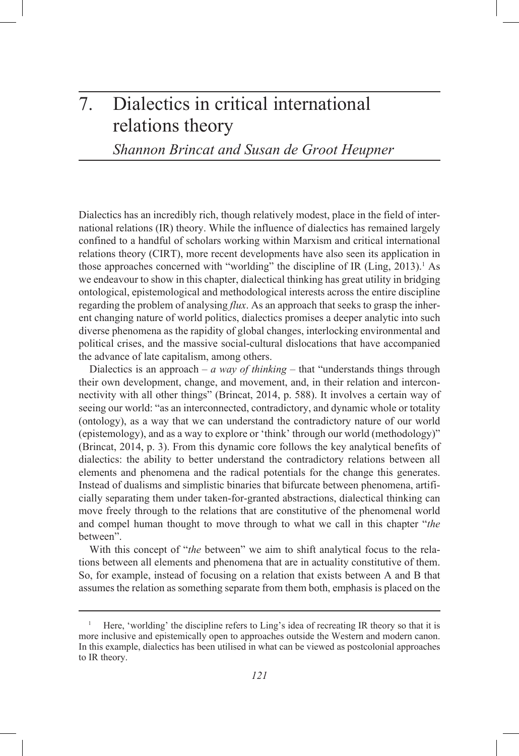# 7. Dialectics in critical international relations theory

# *Shannon Brincat and Susan de Groot Heupner*

Dialectics has an incredibly rich, though relatively modest, place in the field of international relations (IR) theory. While the influence of dialectics has remained largely confined to a handful of scholars working within Marxism and critical international relations theory (CIRT), more recent developments have also seen its application in those approaches concerned with "worlding" the discipline of IR (Ling, 2013).<sup>1</sup> As we endeavour to show in this chapter, dialectical thinking has great utility in bridging ontological, epistemological and methodological interests across the entire discipline regarding the problem of analysing *flux*. As an approach that seeks to grasp the inherent changing nature of world politics, dialectics promises a deeper analytic into such diverse phenomena as the rapidity of global changes, interlocking environmental and political crises, and the massive social-cultural dislocations that have accompanied the advance of late capitalism, among others.

Dialectics is an approach – *a way of thinking* – that "understands things through their own development, change, and movement, and, in their relation and interconnectivity with all other things" (Brincat, 2014, p. 588). It involves a certain way of seeing our world: "as an interconnected, contradictory, and dynamic whole or totality (ontology), as a way that we can understand the contradictory nature of our world (epistemology), and as a way to explore or 'think' through our world (methodology)" (Brincat, 2014, p. 3). From this dynamic core follows the key analytical benefits of dialectics: the ability to better understand the contradictory relations between all elements and phenomena and the radical potentials for the change this generates. Instead of dualisms and simplistic binaries that bifurcate between phenomena, artificially separating them under taken-for-granted abstractions, dialectical thinking can move freely through to the relations that are constitutive of the phenomenal world and compel human thought to move through to what we call in this chapter "*the* between".

With this concept of "*the* between" we aim to shift analytical focus to the relations between all elements and phenomena that are in actuality constitutive of them. So, for example, instead of focusing on a relation that exists between A and B that assumes the relation as something separate from them both, emphasis is placed on the

<sup>1</sup> Here, 'worlding' the discipline refers to Ling's idea of recreating IR theory so that it is more inclusive and epistemically open to approaches outside the Western and modern canon. In this example, dialectics has been utilised in what can be viewed as postcolonial approaches to IR theory.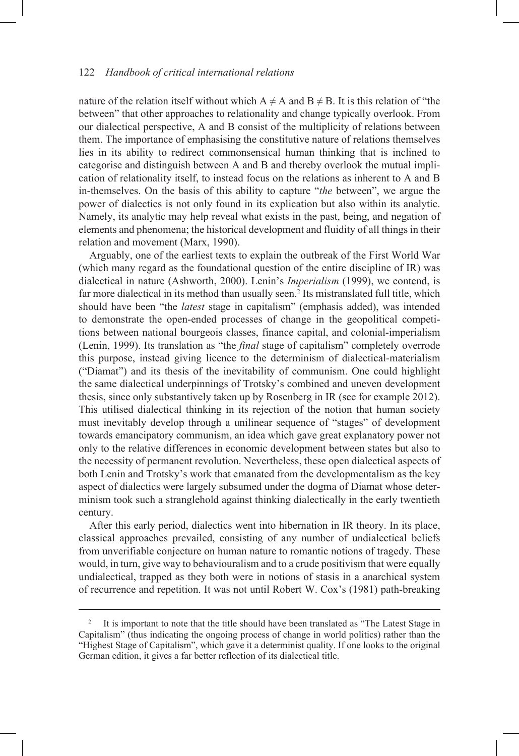nature of the relation itself without which  $A \neq A$  and  $B \neq B$ . It is this relation of "the between" that other approaches to relationality and change typically overlook. From our dialectical perspective, A and B consist of the multiplicity of relations between them. The importance of emphasising the constitutive nature of relations themselves lies in its ability to redirect commonsensical human thinking that is inclined to categorise and distinguish between A and B and thereby overlook the mutual implication of relationality itself, to instead focus on the relations as inherent to A and B in-themselves. On the basis of this ability to capture "*the* between", we argue the power of dialectics is not only found in its explication but also within its analytic. Namely, its analytic may help reveal what exists in the past, being, and negation of elements and phenomena; the historical development and fluidity of all things in their relation and movement (Marx, 1990).

Arguably, one of the earliest texts to explain the outbreak of the First World War (which many regard as the foundational question of the entire discipline of IR) was dialectical in nature (Ashworth, 2000). Lenin's *Imperialism* (1999), we contend, is far more dialectical in its method than usually seen.<sup>2</sup> Its mistranslated full title, which should have been "the *latest* stage in capitalism" (emphasis added), was intended to demonstrate the open-ended processes of change in the geopolitical competitions between national bourgeois classes, finance capital, and colonial-imperialism (Lenin, 1999). Its translation as "the *final* stage of capitalism" completely overrode this purpose, instead giving licence to the determinism of dialectical-materialism ("Diamat") and its thesis of the inevitability of communism. One could highlight the same dialectical underpinnings of Trotsky's combined and uneven development thesis, since only substantively taken up by Rosenberg in IR (see for example 2012). This utilised dialectical thinking in its rejection of the notion that human society must inevitably develop through a unilinear sequence of "stages" of development towards emancipatory communism, an idea which gave great explanatory power not only to the relative differences in economic development between states but also to the necessity of permanent revolution. Nevertheless, these open dialectical aspects of both Lenin and Trotsky's work that emanated from the developmentalism as the key aspect of dialectics were largely subsumed under the dogma of Diamat whose determinism took such a stranglehold against thinking dialectically in the early twentieth century.

After this early period, dialectics went into hibernation in IR theory. In its place, classical approaches prevailed, consisting of any number of undialectical beliefs from unverifiable conjecture on human nature to romantic notions of tragedy. These would, in turn, give way to behaviouralism and to a crude positivism that were equally undialectical, trapped as they both were in notions of stasis in a anarchical system of recurrence and repetition. It was not until Robert W. Cox's (1981) path-breaking

<sup>2</sup> It is important to note that the title should have been translated as "The Latest Stage in Capitalism" (thus indicating the ongoing process of change in world politics) rather than the "Highest Stage of Capitalism", which gave it a determinist quality. If one looks to the original German edition, it gives a far better reflection of its dialectical title.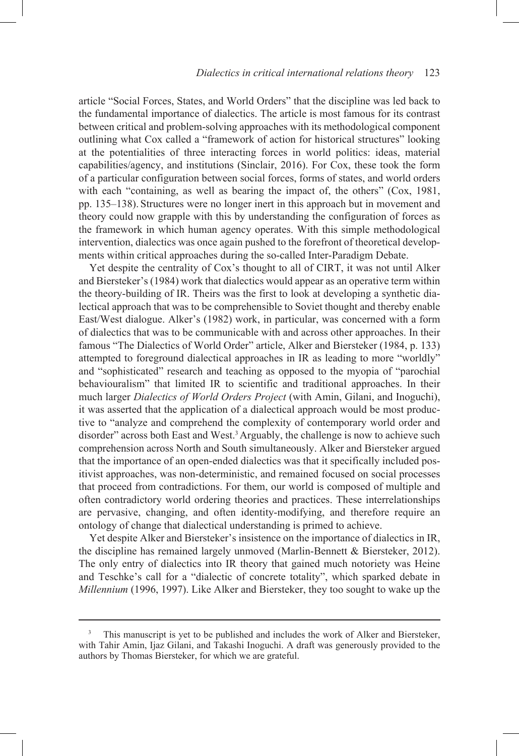article "Social Forces, States, and World Orders" that the discipline was led back to the fundamental importance of dialectics. The article is most famous for its contrast between critical and problem-solving approaches with its methodological component outlining what Cox called a "framework of action for historical structures" looking at the potentialities of three interacting forces in world politics: ideas, material capabilities/agency, and institutions (Sinclair, 2016). For Cox, these took the form of a particular configuration between social forces, forms of states, and world orders with each "containing, as well as bearing the impact of, the others" (Cox, 1981, pp. 135–138). Structures were no longer inert in this approach but in movement and theory could now grapple with this by understanding the configuration of forces as the framework in which human agency operates. With this simple methodological intervention, dialectics was once again pushed to the forefront of theoretical developments within critical approaches during the so-called Inter-Paradigm Debate.

Yet despite the centrality of Cox's thought to all of CIRT, it was not until Alker and Biersteker's (1984) work that dialectics would appear as an operative term within the theory-building of IR. Theirs was the first to look at developing a synthetic dialectical approach that was to be comprehensible to Soviet thought and thereby enable East/West dialogue. Alker's (1982) work, in particular, was concerned with a form of dialectics that was to be communicable with and across other approaches. In their famous "The Dialectics of World Order" article, Alker and Biersteker (1984, p. 133) attempted to foreground dialectical approaches in IR as leading to more "worldly" and "sophisticated" research and teaching as opposed to the myopia of "parochial behaviouralism" that limited IR to scientific and traditional approaches. In their much larger *Dialectics of World Orders Project* (with Amin, Gilani, and Inoguchi), it was asserted that the application of a dialectical approach would be most productive to "analyze and comprehend the complexity of contemporary world order and disorder" across both East and West.<sup>3</sup> Arguably, the challenge is now to achieve such comprehension across North and South simultaneously. Alker and Biersteker argued that the importance of an open-ended dialectics was that it specifically included positivist approaches, was non-deterministic, and remained focused on social processes that proceed from contradictions. For them, our world is composed of multiple and often contradictory world ordering theories and practices. These interrelationships are pervasive, changing, and often identity-modifying, and therefore require an ontology of change that dialectical understanding is primed to achieve.

Yet despite Alker and Biersteker's insistence on the importance of dialectics in IR, the discipline has remained largely unmoved (Marlin-Bennett & Biersteker, 2012). The only entry of dialectics into IR theory that gained much notoriety was Heine and Teschke's call for a "dialectic of concrete totality", which sparked debate in *Millennium* (1996, 1997). Like Alker and Biersteker, they too sought to wake up the

This manuscript is yet to be published and includes the work of Alker and Biersteker, with Tahir Amin, Ijaz Gilani, and Takashi Inoguchi. A draft was generously provided to the authors by Thomas Biersteker, for which we are grateful.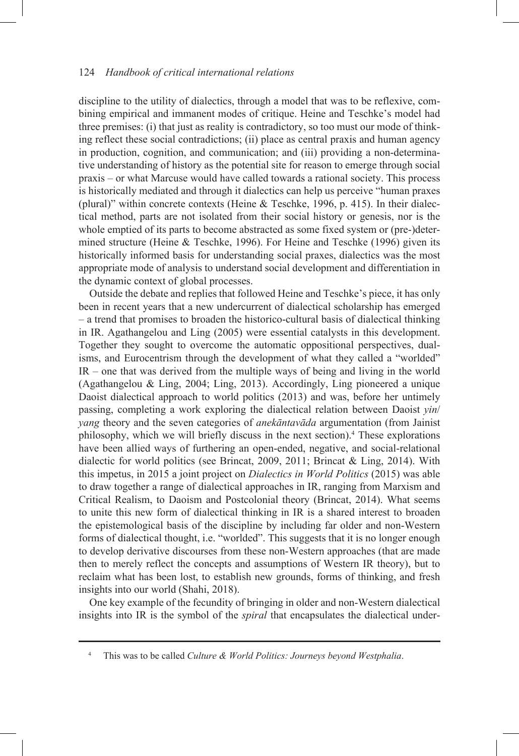discipline to the utility of dialectics, through a model that was to be reflexive, combining empirical and immanent modes of critique. Heine and Teschke's model had three premises: (i) that just as reality is contradictory, so too must our mode of thinking reflect these social contradictions; (ii) place as central praxis and human agency in production, cognition, and communication; and (iii) providing a non-determinative understanding of history as the potential site for reason to emerge through social praxis – or what Marcuse would have called towards a rational society. This process is historically mediated and through it dialectics can help us perceive "human praxes (plural)" within concrete contexts (Heine & Teschke, 1996, p. 415). In their dialectical method, parts are not isolated from their social history or genesis, nor is the whole emptied of its parts to become abstracted as some fixed system or (pre-)determined structure (Heine & Teschke, 1996). For Heine and Teschke (1996) given its historically informed basis for understanding social praxes, dialectics was the most appropriate mode of analysis to understand social development and differentiation in the dynamic context of global processes.

Outside the debate and replies that followed Heine and Teschke's piece, it has only been in recent years that a new undercurrent of dialectical scholarship has emerged – a trend that promises to broaden the historico-cultural basis of dialectical thinking in IR. Agathangelou and Ling (2005) were essential catalysts in this development. Together they sought to overcome the automatic oppositional perspectives, dualisms, and Eurocentrism through the development of what they called a "worlded" IR – one that was derived from the multiple ways of being and living in the world (Agathangelou & Ling, 2004; Ling, 2013). Accordingly, Ling pioneered a unique Daoist dialectical approach to world politics (2013) and was, before her untimely passing, completing a work exploring the dialectical relation between Daoist *yin*/ *yang* theory and the seven categories of *anekāntavāda* argumentation (from Jainist philosophy, which we will briefly discuss in the next section).4 These explorations have been allied ways of furthering an open-ended, negative, and social-relational dialectic for world politics (see Brincat, 2009, 2011; Brincat & Ling, 2014). With this impetus, in 2015 a joint project on *Dialectics in World Politics* (2015) was able to draw together a range of dialectical approaches in IR, ranging from Marxism and Critical Realism, to Daoism and Postcolonial theory (Brincat, 2014). What seems to unite this new form of dialectical thinking in IR is a shared interest to broaden the epistemological basis of the discipline by including far older and non-Western forms of dialectical thought, i.e. "worlded". This suggests that it is no longer enough to develop derivative discourses from these non-Western approaches (that are made then to merely reflect the concepts and assumptions of Western IR theory), but to reclaim what has been lost, to establish new grounds, forms of thinking, and fresh insights into our world (Shahi, 2018).

One key example of the fecundity of bringing in older and non-Western dialectical insights into IR is the symbol of the *spiral* that encapsulates the dialectical under-

<sup>4</sup> This was to be called *Culture & World Politics: Journeys beyond Westphalia*.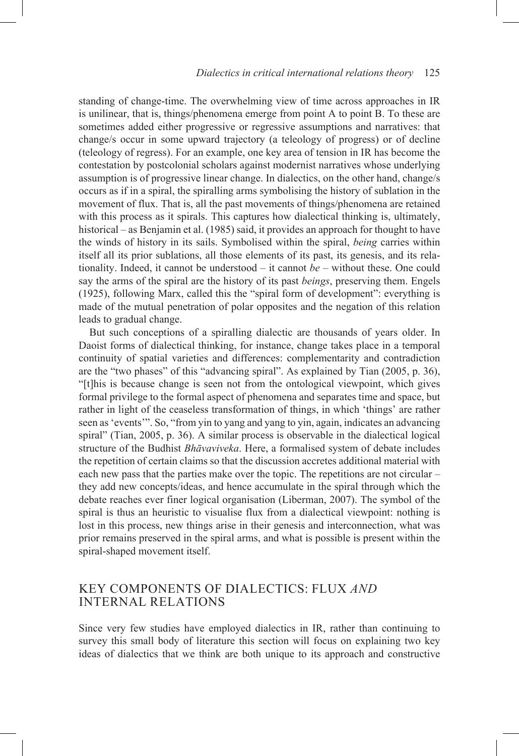standing of change-time. The overwhelming view of time across approaches in IR is unilinear, that is, things/phenomena emerge from point A to point B. To these are sometimes added either progressive or regressive assumptions and narratives: that change/s occur in some upward trajectory (a teleology of progress) or of decline (teleology of regress). For an example, one key area of tension in IR has become the contestation by postcolonial scholars against modernist narratives whose underlying assumption is of progressive linear change. In dialectics, on the other hand, change/s occurs as if in a spiral, the spiralling arms symbolising the history of sublation in the movement of flux. That is, all the past movements of things/phenomena are retained with this process as it spirals. This captures how dialectical thinking is, ultimately, historical – as Benjamin et al. (1985) said, it provides an approach for thought to have the winds of history in its sails. Symbolised within the spiral, *being* carries within itself all its prior sublations, all those elements of its past, its genesis, and its relationality. Indeed, it cannot be understood – it cannot *be* – without these. One could say the arms of the spiral are the history of its past *beings*, preserving them. Engels (1925), following Marx, called this the "spiral form of development": everything is made of the mutual penetration of polar opposites and the negation of this relation leads to gradual change.

But such conceptions of a spiralling dialectic are thousands of years older. In Daoist forms of dialectical thinking, for instance, change takes place in a temporal continuity of spatial varieties and differences: complementarity and contradiction are the "two phases" of this "advancing spiral". As explained by Tian (2005, p. 36), "[t]his is because change is seen not from the ontological viewpoint, which gives formal privilege to the formal aspect of phenomena and separates time and space, but rather in light of the ceaseless transformation of things, in which 'things' are rather seen as 'events'". So, "from yin to yang and yang to yin, again, indicates an advancing spiral" (Tian, 2005, p. 36). A similar process is observable in the dialectical logical structure of the Budhist *Bhāvaviveka*. Here, a formalised system of debate includes the repetition of certain claims so that the discussion accretes additional material with each new pass that the parties make over the topic. The repetitions are not circular – they add new concepts/ideas, and hence accumulate in the spiral through which the debate reaches ever finer logical organisation (Liberman, 2007). The symbol of the spiral is thus an heuristic to visualise flux from a dialectical viewpoint: nothing is lost in this process, new things arise in their genesis and interconnection, what was prior remains preserved in the spiral arms, and what is possible is present within the spiral-shaped movement itself.

# KEY COMPONENTS OF DIALECTICS: FLUX *AND* INTERNAL RELATIONS

Since very few studies have employed dialectics in IR, rather than continuing to survey this small body of literature this section will focus on explaining two key ideas of dialectics that we think are both unique to its approach and constructive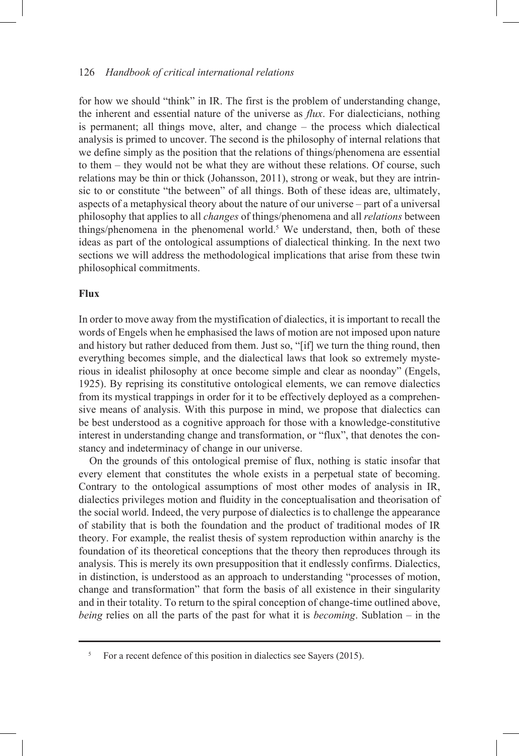for how we should "think" in IR. The first is the problem of understanding change, the inherent and essential nature of the universe as *flux*. For dialecticians, nothing is permanent; all things move, alter, and change – the process which dialectical analysis is primed to uncover. The second is the philosophy of internal relations that we define simply as the position that the relations of things/phenomena are essential to them – they would not be what they are without these relations. Of course, such relations may be thin or thick (Johansson, 2011), strong or weak, but they are intrinsic to or constitute "the between" of all things. Both of these ideas are, ultimately, aspects of a metaphysical theory about the nature of our universe – part of a universal philosophy that applies to all *changes* of things/phenomena and all *relations* between things/phenomena in the phenomenal world.<sup>5</sup> We understand, then, both of these ideas as part of the ontological assumptions of dialectical thinking. In the next two sections we will address the methodological implications that arise from these twin philosophical commitments.

# **Flux**

In order to move away from the mystification of dialectics, it is important to recall the words of Engels when he emphasised the laws of motion are not imposed upon nature and history but rather deduced from them. Just so, "[if] we turn the thing round, then everything becomes simple, and the dialectical laws that look so extremely mysterious in idealist philosophy at once become simple and clear as noonday" (Engels, 1925). By reprising its constitutive ontological elements, we can remove dialectics from its mystical trappings in order for it to be effectively deployed as a comprehensive means of analysis. With this purpose in mind, we propose that dialectics can be best understood as a cognitive approach for those with a knowledge-constitutive interest in understanding change and transformation, or "flux", that denotes the constancy and indeterminacy of change in our universe.

On the grounds of this ontological premise of flux, nothing is static insofar that every element that constitutes the whole exists in a perpetual state of becoming. Contrary to the ontological assumptions of most other modes of analysis in IR, dialectics privileges motion and fluidity in the conceptualisation and theorisation of the social world. Indeed, the very purpose of dialectics is to challenge the appearance of stability that is both the foundation and the product of traditional modes of IR theory. For example, the realist thesis of system reproduction within anarchy is the foundation of its theoretical conceptions that the theory then reproduces through its analysis. This is merely its own presupposition that it endlessly confirms. Dialectics, in distinction, is understood as an approach to understanding "processes of motion, change and transformation" that form the basis of all existence in their singularity and in their totality. To return to the spiral conception of change-time outlined above, *being* relies on all the parts of the past for what it is *becoming*. Sublation – in the

 $5$  For a recent defence of this position in dialectics see Sayers (2015).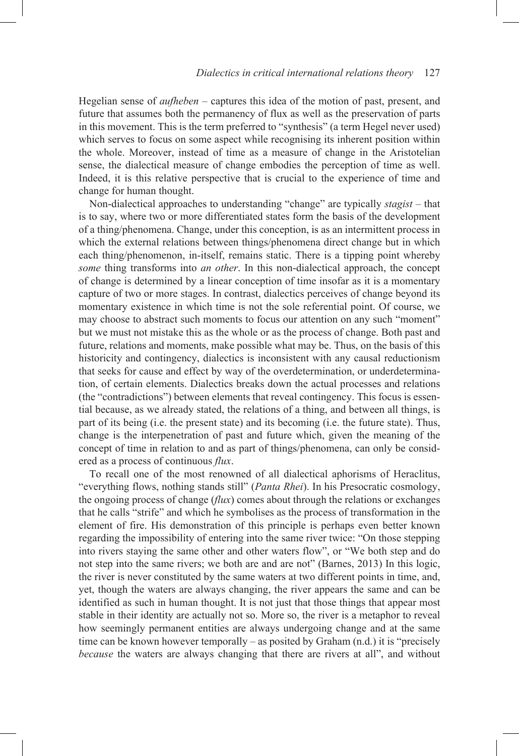Hegelian sense of *aufheben* – captures this idea of the motion of past, present, and future that assumes both the permanency of flux as well as the preservation of parts in this movement. This is the term preferred to "synthesis" (a term Hegel never used) which serves to focus on some aspect while recognising its inherent position within the whole. Moreover, instead of time as a measure of change in the Aristotelian sense, the dialectical measure of change embodies the perception of time as well. Indeed, it is this relative perspective that is crucial to the experience of time and change for human thought.

Non-dialectical approaches to understanding "change" are typically *stagist* – that is to say, where two or more differentiated states form the basis of the development of a thing/phenomena. Change, under this conception, is as an intermittent process in which the external relations between things/phenomena direct change but in which each thing/phenomenon, in-itself, remains static. There is a tipping point whereby *some* thing transforms into *an other*. In this non-dialectical approach, the concept of change is determined by a linear conception of time insofar as it is a momentary capture of two or more stages. In contrast, dialectics perceives of change beyond its momentary existence in which time is not the sole referential point. Of course, we may choose to abstract such moments to focus our attention on any such "moment" but we must not mistake this as the whole or as the process of change. Both past and future, relations and moments, make possible what may be. Thus, on the basis of this historicity and contingency, dialectics is inconsistent with any causal reductionism that seeks for cause and effect by way of the overdetermination, or underdetermination, of certain elements. Dialectics breaks down the actual processes and relations (the "contradictions") between elements that reveal contingency. This focus is essential because, as we already stated, the relations of a thing, and between all things, is part of its being (i.e. the present state) and its becoming (i.e. the future state). Thus, change is the interpenetration of past and future which, given the meaning of the concept of time in relation to and as part of things/phenomena, can only be considered as a process of continuous *flux*.

To recall one of the most renowned of all dialectical aphorisms of Heraclitus, "everything flows, nothing stands still" (*Panta Rhei*). In his Presocratic cosmology, the ongoing process of change (*flux*) comes about through the relations or exchanges that he calls "strife" and which he symbolises as the process of transformation in the element of fire. His demonstration of this principle is perhaps even better known regarding the impossibility of entering into the same river twice: "On those stepping into rivers staying the same other and other waters flow", or "We both step and do not step into the same rivers; we both are and are not" (Barnes, 2013) In this logic, the river is never constituted by the same waters at two different points in time, and, yet, though the waters are always changing, the river appears the same and can be identified as such in human thought. It is not just that those things that appear most stable in their identity are actually not so. More so, the river is a metaphor to reveal how seemingly permanent entities are always undergoing change and at the same time can be known however temporally – as posited by Graham (n.d.) it is "precisely *because* the waters are always changing that there are rivers at all", and without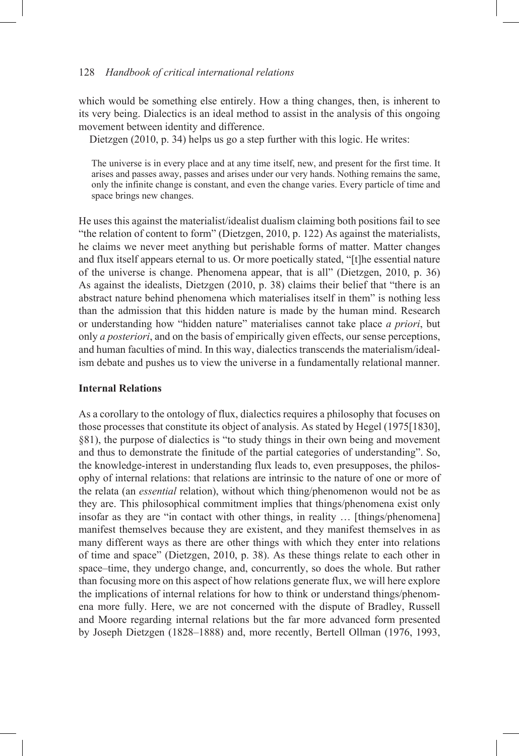which would be something else entirely. How a thing changes, then, is inherent to its very being. Dialectics is an ideal method to assist in the analysis of this ongoing movement between identity and difference.

Dietzgen (2010, p. 34) helps us go a step further with this logic. He writes:

The universe is in every place and at any time itself, new, and present for the first time. It arises and passes away, passes and arises under our very hands. Nothing remains the same, only the infinite change is constant, and even the change varies. Every particle of time and space brings new changes.

He uses this against the materialist/idealist dualism claiming both positions fail to see "the relation of content to form" (Dietzgen, 2010, p. 122) As against the materialists, he claims we never meet anything but perishable forms of matter. Matter changes and flux itself appears eternal to us. Or more poetically stated, "[t]he essential nature of the universe is change. Phenomena appear, that is all" (Dietzgen, 2010, p. 36) As against the idealists, Dietzgen (2010, p. 38) claims their belief that "there is an abstract nature behind phenomena which materialises itself in them" is nothing less than the admission that this hidden nature is made by the human mind. Research or understanding how "hidden nature" materialises cannot take place *a priori*, but only *a posteriori*, and on the basis of empirically given effects, our sense perceptions, and human faculties of mind. In this way, dialectics transcends the materialism/idealism debate and pushes us to view the universe in a fundamentally relational manner.

## **Internal Relations**

As a corollary to the ontology of flux, dialectics requires a philosophy that focuses on those processes that constitute its object of analysis. As stated by Hegel (1975[1830], §81), the purpose of dialectics is "to study things in their own being and movement and thus to demonstrate the finitude of the partial categories of understanding". So, the knowledge-interest in understanding flux leads to, even presupposes, the philosophy of internal relations: that relations are intrinsic to the nature of one or more of the relata (an *essential* relation), without which thing/phenomenon would not be as they are. This philosophical commitment implies that things/phenomena exist only insofar as they are "in contact with other things, in reality … [things/phenomena] manifest themselves because they are existent, and they manifest themselves in as many different ways as there are other things with which they enter into relations of time and space" (Dietzgen, 2010, p. 38). As these things relate to each other in space–time, they undergo change, and, concurrently, so does the whole. But rather than focusing more on this aspect of how relations generate flux, we will here explore the implications of internal relations for how to think or understand things/phenomena more fully. Here, we are not concerned with the dispute of Bradley, Russell and Moore regarding internal relations but the far more advanced form presented by Joseph Dietzgen (1828–1888) and, more recently, Bertell Ollman (1976, 1993,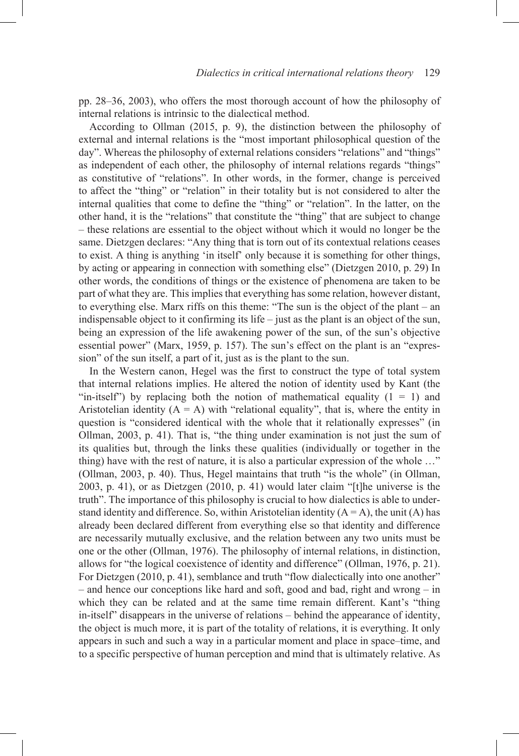pp. 28–36, 2003), who offers the most thorough account of how the philosophy of internal relations is intrinsic to the dialectical method.

According to Ollman (2015, p. 9), the distinction between the philosophy of external and internal relations is the "most important philosophical question of the day". Whereas the philosophy of external relations considers "relations" and "things" as independent of each other, the philosophy of internal relations regards "things" as constitutive of "relations". In other words, in the former, change is perceived to affect the "thing" or "relation" in their totality but is not considered to alter the internal qualities that come to define the "thing" or "relation". In the latter, on the other hand, it is the "relations" that constitute the "thing" that are subject to change – these relations are essential to the object without which it would no longer be the same. Dietzgen declares: "Any thing that is torn out of its contextual relations ceases to exist. A thing is anything 'in itself' only because it is something for other things, by acting or appearing in connection with something else" (Dietzgen 2010, p. 29) In other words, the conditions of things or the existence of phenomena are taken to be part of what they are. This implies that everything has some relation, however distant, to everything else. Marx riffs on this theme: "The sun is the object of the plant – an indispensable object to it confirming its life – just as the plant is an object of the sun, being an expression of the life awakening power of the sun, of the sun's objective essential power" (Marx, 1959, p. 157). The sun's effect on the plant is an "expression" of the sun itself, a part of it, just as is the plant to the sun.

In the Western canon, Hegel was the first to construct the type of total system that internal relations implies. He altered the notion of identity used by Kant (the "in-itself") by replacing both the notion of mathematical equality  $(1 = 1)$  and Aristotelian identity  $(A = A)$  with "relational equality", that is, where the entity in question is "considered identical with the whole that it relationally expresses" (in Ollman, 2003, p. 41). That is, "the thing under examination is not just the sum of its qualities but, through the links these qualities (individually or together in the thing) have with the rest of nature, it is also a particular expression of the whole …" (Ollman, 2003, p. 40). Thus, Hegel maintains that truth "is the whole" (in Ollman, 2003, p. 41), or as Dietzgen (2010, p. 41) would later claim "[t]he universe is the truth". The importance of this philosophy is crucial to how dialectics is able to understand identity and difference. So, within Aristotelian identity  $(A = A)$ , the unit  $(A)$  has already been declared different from everything else so that identity and difference are necessarily mutually exclusive, and the relation between any two units must be one or the other (Ollman, 1976). The philosophy of internal relations, in distinction, allows for "the logical coexistence of identity and difference" (Ollman, 1976, p. 21). For Dietzgen (2010, p. 41), semblance and truth "flow dialectically into one another" – and hence our conceptions like hard and soft, good and bad, right and wrong – in which they can be related and at the same time remain different. Kant's "thing in-itself" disappears in the universe of relations – behind the appearance of identity, the object is much more, it is part of the totality of relations, it is everything. It only appears in such and such a way in a particular moment and place in space–time, and to a specific perspective of human perception and mind that is ultimately relative. As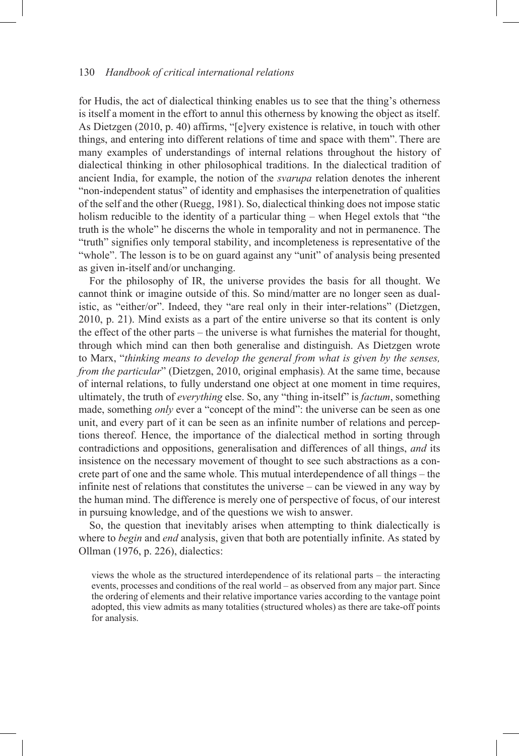for Hudis, the act of dialectical thinking enables us to see that the thing's otherness is itself a moment in the effort to annul this otherness by knowing the object as itself. As Dietzgen (2010, p. 40) affirms, "[e]very existence is relative, in touch with other things, and entering into different relations of time and space with them". There are many examples of understandings of internal relations throughout the history of dialectical thinking in other philosophical traditions. In the dialectical tradition of ancient India, for example, the notion of the *svarupa* relation denotes the inherent "non-independent status" of identity and emphasises the interpenetration of qualities of the self and the other (Ruegg, 1981). So, dialectical thinking does not impose static holism reducible to the identity of a particular thing – when Hegel extols that "the truth is the whole" he discerns the whole in temporality and not in permanence. The "truth" signifies only temporal stability, and incompleteness is representative of the "whole". The lesson is to be on guard against any "unit" of analysis being presented as given in-itself and/or unchanging.

For the philosophy of IR, the universe provides the basis for all thought. We cannot think or imagine outside of this. So mind/matter are no longer seen as dualistic, as "either/or". Indeed, they "are real only in their inter-relations" (Dietzgen, 2010, p. 21). Mind exists as a part of the entire universe so that its content is only the effect of the other parts – the universe is what furnishes the material for thought, through which mind can then both generalise and distinguish. As Dietzgen wrote to Marx, "*thinking means to develop the general from what is given by the senses, from the particular*" (Dietzgen, 2010, original emphasis)*.* At the same time, because of internal relations, to fully understand one object at one moment in time requires, ultimately, the truth of *everything* else. So, any "thing in-itself" is *factum*, something made, something *only* ever a "concept of the mind": the universe can be seen as one unit, and every part of it can be seen as an infinite number of relations and perceptions thereof. Hence, the importance of the dialectical method in sorting through contradictions and oppositions, generalisation and differences of all things, *and* its insistence on the necessary movement of thought to see such abstractions as a concrete part of one and the same whole. This mutual interdependence of all things – the infinite nest of relations that constitutes the universe – can be viewed in any way by the human mind. The difference is merely one of perspective of focus, of our interest in pursuing knowledge, and of the questions we wish to answer.

So, the question that inevitably arises when attempting to think dialectically is where to *begin* and *end* analysis, given that both are potentially infinite. As stated by Ollman (1976, p. 226), dialectics:

views the whole as the structured interdependence of its relational parts – the interacting events, processes and conditions of the real world – as observed from any major part. Since the ordering of elements and their relative importance varies according to the vantage point adopted, this view admits as many totalities (structured wholes) as there are take-off points for analysis.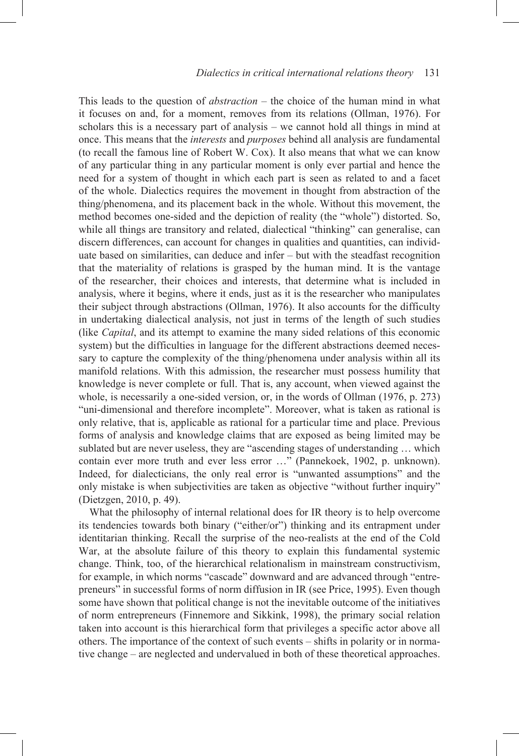This leads to the question of *abstraction* – the choice of the human mind in what it focuses on and, for a moment, removes from its relations (Ollman, 1976). For scholars this is a necessary part of analysis – we cannot hold all things in mind at once. This means that the *interests* and *purposes* behind all analysis are fundamental (to recall the famous line of Robert W. Cox). It also means that what we can know of any particular thing in any particular moment is only ever partial and hence the need for a system of thought in which each part is seen as related to and a facet of the whole. Dialectics requires the movement in thought from abstraction of the thing/phenomena, and its placement back in the whole. Without this movement, the method becomes one-sided and the depiction of reality (the "whole") distorted. So, while all things are transitory and related, dialectical "thinking" can generalise, can discern differences, can account for changes in qualities and quantities, can individuate based on similarities, can deduce and infer – but with the steadfast recognition that the materiality of relations is grasped by the human mind. It is the vantage of the researcher, their choices and interests, that determine what is included in analysis, where it begins, where it ends, just as it is the researcher who manipulates their subject through abstractions (Ollman, 1976). It also accounts for the difficulty in undertaking dialectical analysis, not just in terms of the length of such studies (like *Capital*, and its attempt to examine the many sided relations of this economic system) but the difficulties in language for the different abstractions deemed necessary to capture the complexity of the thing/phenomena under analysis within all its manifold relations. With this admission, the researcher must possess humility that knowledge is never complete or full. That is, any account, when viewed against the whole, is necessarily a one-sided version, or, in the words of Ollman (1976, p. 273) "uni-dimensional and therefore incomplete". Moreover, what is taken as rational is only relative, that is, applicable as rational for a particular time and place. Previous forms of analysis and knowledge claims that are exposed as being limited may be sublated but are never useless, they are "ascending stages of understanding … which contain ever more truth and ever less error …" (Pannekoek, 1902, p. unknown). Indeed, for dialecticians, the only real error is "unwanted assumptions" and the only mistake is when subjectivities are taken as objective "without further inquiry" (Dietzgen, 2010, p. 49).

What the philosophy of internal relational does for IR theory is to help overcome its tendencies towards both binary ("either/or") thinking and its entrapment under identitarian thinking. Recall the surprise of the neo-realists at the end of the Cold War, at the absolute failure of this theory to explain this fundamental systemic change. Think, too, of the hierarchical relationalism in mainstream constructivism, for example, in which norms "cascade" downward and are advanced through "entrepreneurs" in successful forms of norm diffusion in IR (see Price, 1995). Even though some have shown that political change is not the inevitable outcome of the initiatives of norm entrepreneurs (Finnemore and Sikkink, 1998), the primary social relation taken into account is this hierarchical form that privileges a specific actor above all others. The importance of the context of such events – shifts in polarity or in normative change – are neglected and undervalued in both of these theoretical approaches.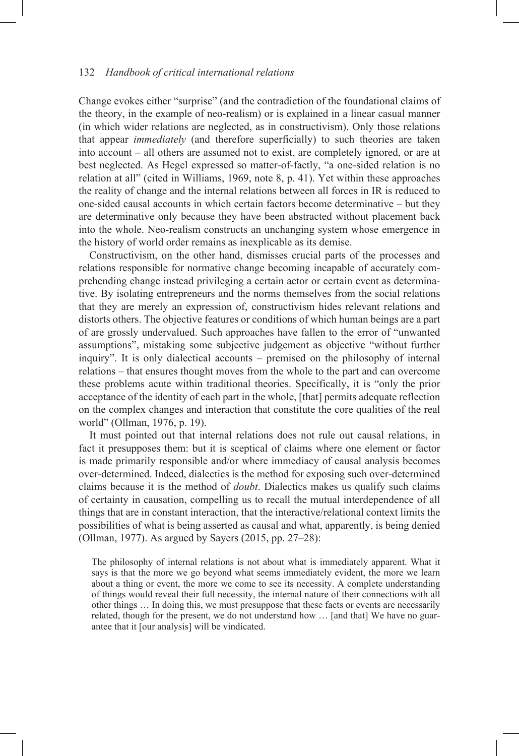Change evokes either "surprise" (and the contradiction of the foundational claims of the theory, in the example of neo-realism) or is explained in a linear casual manner (in which wider relations are neglected, as in constructivism). Only those relations that appear *immediately* (and therefore superficially) to such theories are taken into account – all others are assumed not to exist, are completely ignored, or are at best neglected. As Hegel expressed so matter-of-factly, "a one-sided relation is no relation at all" (cited in Williams, 1969, note 8, p. 41). Yet within these approaches the reality of change and the internal relations between all forces in IR is reduced to one-sided causal accounts in which certain factors become determinative – but they are determinative only because they have been abstracted without placement back into the whole. Neo-realism constructs an unchanging system whose emergence in the history of world order remains as inexplicable as its demise.

Constructivism, on the other hand, dismisses crucial parts of the processes and relations responsible for normative change becoming incapable of accurately comprehending change instead privileging a certain actor or certain event as determinative. By isolating entrepreneurs and the norms themselves from the social relations that they are merely an expression of, constructivism hides relevant relations and distorts others. The objective features or conditions of which human beings are a part of are grossly undervalued. Such approaches have fallen to the error of "unwanted assumptions", mistaking some subjective judgement as objective "without further inquiry". It is only dialectical accounts – premised on the philosophy of internal relations – that ensures thought moves from the whole to the part and can overcome these problems acute within traditional theories. Specifically, it is "only the prior acceptance of the identity of each part in the whole, [that] permits adequate reflection on the complex changes and interaction that constitute the core qualities of the real world" (Ollman, 1976, p. 19).

It must pointed out that internal relations does not rule out causal relations, in fact it presupposes them: but it is sceptical of claims where one element or factor is made primarily responsible and/or where immediacy of causal analysis becomes over-determined. Indeed, dialectics is the method for exposing such over-determined claims because it is the method of *doubt*. Dialectics makes us qualify such claims of certainty in causation, compelling us to recall the mutual interdependence of all things that are in constant interaction, that the interactive/relational context limits the possibilities of what is being asserted as causal and what, apparently, is being denied (Ollman, 1977). As argued by Sayers (2015, pp. 27–28):

The philosophy of internal relations is not about what is immediately apparent. What it says is that the more we go beyond what seems immediately evident, the more we learn about a thing or event, the more we come to see its necessity. A complete understanding of things would reveal their full necessity, the internal nature of their connections with all other things … In doing this, we must presuppose that these facts or events are necessarily related, though for the present, we do not understand how … [and that] We have no guarantee that it [our analysis] will be vindicated.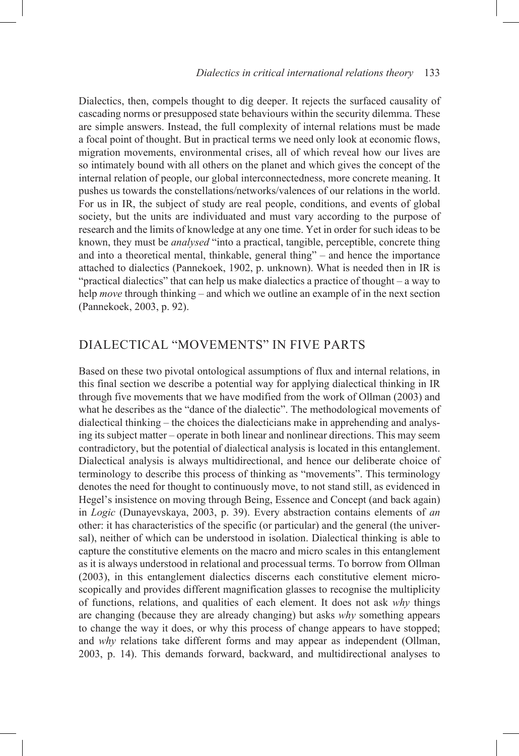Dialectics, then, compels thought to dig deeper. It rejects the surfaced causality of cascading norms or presupposed state behaviours within the security dilemma. These are simple answers. Instead, the full complexity of internal relations must be made a focal point of thought. But in practical terms we need only look at economic flows, migration movements, environmental crises, all of which reveal how our lives are so intimately bound with all others on the planet and which gives the concept of the internal relation of people, our global interconnectedness, more concrete meaning. It pushes us towards the constellations/networks/valences of our relations in the world. For us in IR, the subject of study are real people, conditions, and events of global society, but the units are individuated and must vary according to the purpose of research and the limits of knowledge at any one time. Yet in order for such ideas to be known, they must be *analysed* "into a practical, tangible, perceptible, concrete thing and into a theoretical mental, thinkable, general thing" – and hence the importance attached to dialectics (Pannekoek, 1902, p. unknown). What is needed then in IR is "practical dialectics" that can help us make dialectics a practice of thought – a way to help *move* through thinking – and which we outline an example of in the next section (Pannekoek, 2003, p. 92).

# DIALECTICAL "MOVEMENTS" IN FIVE PARTS

Based on these two pivotal ontological assumptions of flux and internal relations, in this final section we describe a potential way for applying dialectical thinking in IR through five movements that we have modified from the work of Ollman (2003) and what he describes as the "dance of the dialectic". The methodological movements of dialectical thinking – the choices the dialecticians make in apprehending and analysing its subject matter – operate in both linear and nonlinear directions. This may seem contradictory, but the potential of dialectical analysis is located in this entanglement. Dialectical analysis is always multidirectional, and hence our deliberate choice of terminology to describe this process of thinking as "movements". This terminology denotes the need for thought to continuously move, to not stand still, as evidenced in Hegel's insistence on moving through Being, Essence and Concept (and back again) in *Logic* (Dunayevskaya, 2003, p. 39). Every abstraction contains elements of *an* other: it has characteristics of the specific (or particular) and the general (the universal), neither of which can be understood in isolation. Dialectical thinking is able to capture the constitutive elements on the macro and micro scales in this entanglement as it is always understood in relational and processual terms. To borrow from Ollman (2003), in this entanglement dialectics discerns each constitutive element microscopically and provides different magnification glasses to recognise the multiplicity of functions, relations, and qualities of each element. It does not ask *why* things are changing (because they are already changing) but asks *why* something appears to change the way it does, or why this process of change appears to have stopped; and *why* relations take different forms and may appear as independent (Ollman, 2003, p. 14). This demands forward, backward, and multidirectional analyses to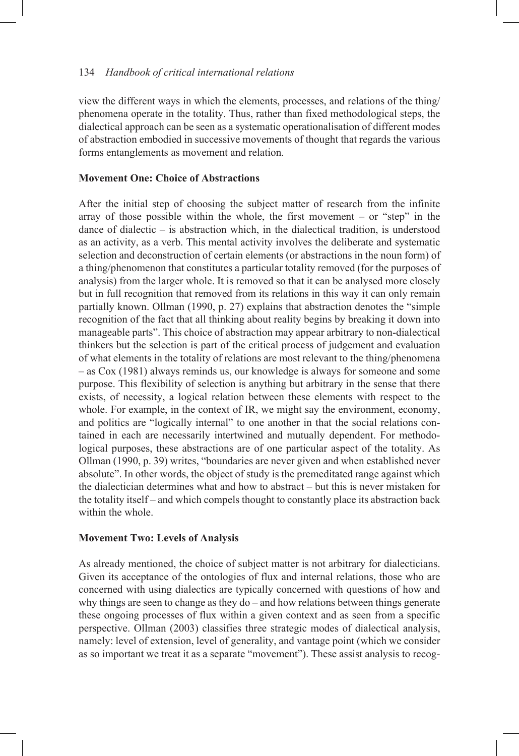view the different ways in which the elements, processes, and relations of the thing/ phenomena operate in the totality. Thus, rather than fixed methodological steps, the dialectical approach can be seen as a systematic operationalisation of different modes of abstraction embodied in successive movements of thought that regards the various forms entanglements as movement and relation.

# **Movement One: Choice of Abstractions**

After the initial step of choosing the subject matter of research from the infinite array of those possible within the whole, the first movement – or "step" in the dance of dialectic – is abstraction which, in the dialectical tradition, is understood as an activity, as a verb. This mental activity involves the deliberate and systematic selection and deconstruction of certain elements (or abstractions in the noun form) of a thing/phenomenon that constitutes a particular totality removed (for the purposes of analysis) from the larger whole. It is removed so that it can be analysed more closely but in full recognition that removed from its relations in this way it can only remain partially known. Ollman (1990, p. 27) explains that abstraction denotes the "simple recognition of the fact that all thinking about reality begins by breaking it down into manageable parts". This choice of abstraction may appear arbitrary to non-dialectical thinkers but the selection is part of the critical process of judgement and evaluation of what elements in the totality of relations are most relevant to the thing/phenomena – as Cox (1981) always reminds us, our knowledge is always for someone and some purpose. This flexibility of selection is anything but arbitrary in the sense that there exists, of necessity, a logical relation between these elements with respect to the whole. For example, in the context of IR, we might say the environment, economy, and politics are "logically internal" to one another in that the social relations contained in each are necessarily intertwined and mutually dependent. For methodological purposes, these abstractions are of one particular aspect of the totality. As Ollman (1990, p. 39) writes, "boundaries are never given and when established never absolute". In other words, the object of study is the premeditated range against which the dialectician determines what and how to abstract – but this is never mistaken for the totality itself – and which compels thought to constantly place its abstraction back within the whole.

## **Movement Two: Levels of Analysis**

As already mentioned, the choice of subject matter is not arbitrary for dialecticians. Given its acceptance of the ontologies of flux and internal relations, those who are concerned with using dialectics are typically concerned with questions of how and why things are seen to change as they do – and how relations between things generate these ongoing processes of flux within a given context and as seen from a specific perspective. Ollman (2003) classifies three strategic modes of dialectical analysis, namely: level of extension, level of generality, and vantage point (which we consider as so important we treat it as a separate "movement"). These assist analysis to recog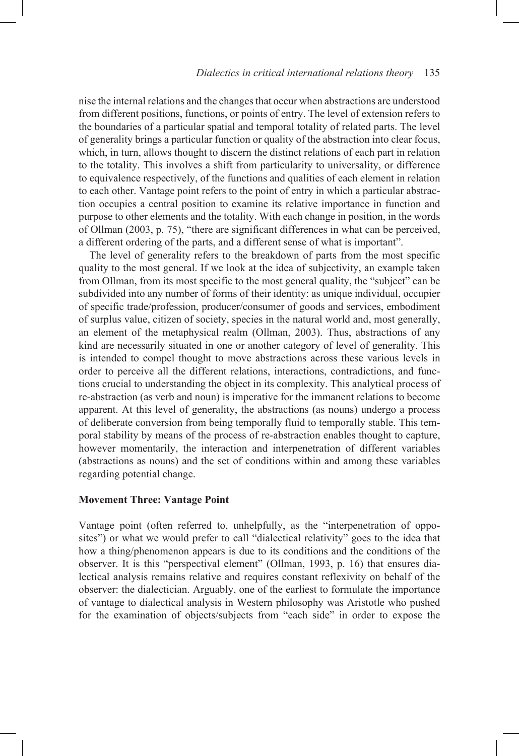nise the internal relations and the changes that occur when abstractions are understood from different positions, functions, or points of entry. The level of extension refers to the boundaries of a particular spatial and temporal totality of related parts. The level of generality brings a particular function or quality of the abstraction into clear focus, which, in turn, allows thought to discern the distinct relations of each part in relation to the totality. This involves a shift from particularity to universality, or difference to equivalence respectively, of the functions and qualities of each element in relation to each other. Vantage point refers to the point of entry in which a particular abstraction occupies a central position to examine its relative importance in function and purpose to other elements and the totality. With each change in position, in the words of Ollman (2003, p. 75), "there are significant differences in what can be perceived, a different ordering of the parts, and a different sense of what is important".

The level of generality refers to the breakdown of parts from the most specific quality to the most general. If we look at the idea of subjectivity, an example taken from Ollman, from its most specific to the most general quality, the "subject" can be subdivided into any number of forms of their identity: as unique individual, occupier of specific trade/profession, producer/consumer of goods and services, embodiment of surplus value, citizen of society, species in the natural world and, most generally, an element of the metaphysical realm (Ollman, 2003). Thus, abstractions of any kind are necessarily situated in one or another category of level of generality. This is intended to compel thought to move abstractions across these various levels in order to perceive all the different relations, interactions, contradictions, and functions crucial to understanding the object in its complexity. This analytical process of re-abstraction (as verb and noun) is imperative for the immanent relations to become apparent. At this level of generality, the abstractions (as nouns) undergo a process of deliberate conversion from being temporally fluid to temporally stable. This temporal stability by means of the process of re-abstraction enables thought to capture, however momentarily, the interaction and interpenetration of different variables (abstractions as nouns) and the set of conditions within and among these variables regarding potential change.

# **Movement Three: Vantage Point**

Vantage point (often referred to, unhelpfully, as the "interpenetration of opposites") or what we would prefer to call "dialectical relativity" goes to the idea that how a thing/phenomenon appears is due to its conditions and the conditions of the observer. It is this "perspectival element" (Ollman, 1993, p. 16) that ensures dialectical analysis remains relative and requires constant reflexivity on behalf of the observer: the dialectician. Arguably, one of the earliest to formulate the importance of vantage to dialectical analysis in Western philosophy was Aristotle who pushed for the examination of objects/subjects from "each side" in order to expose the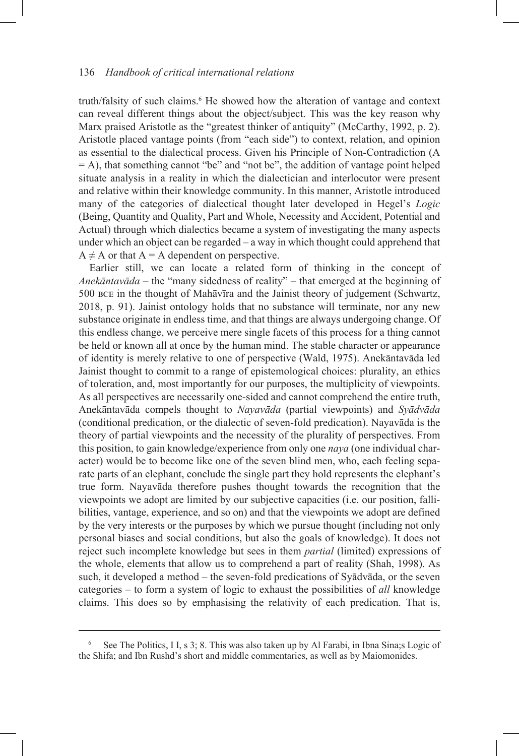truth/falsity of such claims.<sup>6</sup> He showed how the alteration of vantage and context can reveal different things about the object/subject. This was the key reason why Marx praised Aristotle as the "greatest thinker of antiquity" (McCarthy, 1992, p. 2). Aristotle placed vantage points (from "each side") to context, relation, and opinion as essential to the dialectical process. Given his Principle of Non-Contradiction (A  $= A$ ), that something cannot "be" and "not be", the addition of vantage point helped situate analysis in a reality in which the dialectician and interlocutor were present and relative within their knowledge community. In this manner, Aristotle introduced many of the categories of dialectical thought later developed in Hegel's *Logic*  (Being, Quantity and Quality, Part and Whole, Necessity and Accident, Potential and Actual) through which dialectics became a system of investigating the many aspects under which an object can be regarded – a way in which thought could apprehend that  $A \neq A$  or that  $A = A$  dependent on perspective.

Earlier still, we can locate a related form of thinking in the concept of *Anekāntavāda* – the "many sidedness of reality" – that emerged at the beginning of 500 bce in the thought of Mahāvīra and the Jainist theory of judgement (Schwartz, 2018, p. 91). Jainist ontology holds that no substance will terminate, nor any new substance originate in endless time, and that things are always undergoing change. Of this endless change, we perceive mere single facets of this process for a thing cannot be held or known all at once by the human mind. The stable character or appearance of identity is merely relative to one of perspective (Wald, 1975). Anekāntavāda led Jainist thought to commit to a range of epistemological choices: plurality, an ethics of toleration, and, most importantly for our purposes, the multiplicity of viewpoints. As all perspectives are necessarily one-sided and cannot comprehend the entire truth, Anekāntavāda compels thought to *Nayavāda* (partial viewpoints) and *Syādvāda* (conditional predication, or the dialectic of seven-fold predication). Nayavāda is the theory of partial viewpoints and the necessity of the plurality of perspectives. From this position, to gain knowledge/experience from only one *naya* (one individual character) would be to become like one of the seven blind men, who, each feeling separate parts of an elephant, conclude the single part they hold represents the elephant's true form. Nayavāda therefore pushes thought towards the recognition that the viewpoints we adopt are limited by our subjective capacities (i.e. our position, fallibilities, vantage, experience, and so on) and that the viewpoints we adopt are defined by the very interests or the purposes by which we pursue thought (including not only personal biases and social conditions, but also the goals of knowledge). It does not reject such incomplete knowledge but sees in them *partial* (limited) expressions of the whole, elements that allow us to comprehend a part of reality (Shah, 1998). As such, it developed a method – the seven-fold predications of Syādvāda, or the seven categories – to form a system of logic to exhaust the possibilities of *all* knowledge claims. This does so by emphasising the relativity of each predication. That is,

<sup>6</sup> See The Politics, I I, s 3; 8. This was also taken up by Al Farabi, in Ibna Sina;s Logic of the Shifa; and Ibn Rushd's short and middle commentaries, as well as by Maiomonides.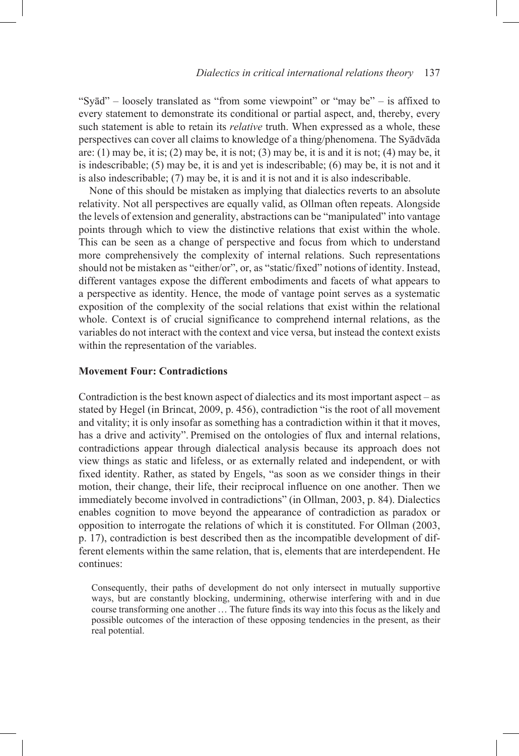"Syād" – loosely translated as "from some viewpoint" or "may be" – is affixed to every statement to demonstrate its conditional or partial aspect, and, thereby, every such statement is able to retain its *relative* truth. When expressed as a whole, these perspectives can cover all claims to knowledge of a thing/phenomena. The Syādvāda are: (1) may be, it is; (2) may be, it is not; (3) may be, it is and it is not; (4) may be, it is indescribable; (5) may be, it is and yet is indescribable; (6) may be, it is not and it is also indescribable; (7) may be, it is and it is not and it is also indescribable.

None of this should be mistaken as implying that dialectics reverts to an absolute relativity. Not all perspectives are equally valid, as Ollman often repeats. Alongside the levels of extension and generality, abstractions can be "manipulated" into vantage points through which to view the distinctive relations that exist within the whole. This can be seen as a change of perspective and focus from which to understand more comprehensively the complexity of internal relations. Such representations should not be mistaken as "either/or", or, as "static/fixed" notions of identity. Instead, different vantages expose the different embodiments and facets of what appears to a perspective as identity. Hence, the mode of vantage point serves as a systematic exposition of the complexity of the social relations that exist within the relational whole. Context is of crucial significance to comprehend internal relations, as the variables do not interact with the context and vice versa, but instead the context exists within the representation of the variables.

#### **Movement Four: Contradictions**

Contradiction is the best known aspect of dialectics and its most important aspect – as stated by Hegel (in Brincat, 2009, p. 456), contradiction "is the root of all movement and vitality; it is only insofar as something has a contradiction within it that it moves, has a drive and activity". Premised on the ontologies of flux and internal relations, contradictions appear through dialectical analysis because its approach does not view things as static and lifeless, or as externally related and independent, or with fixed identity. Rather, as stated by Engels, "as soon as we consider things in their motion, their change, their life, their reciprocal influence on one another. Then we immediately become involved in contradictions" (in Ollman, 2003, p. 84). Dialectics enables cognition to move beyond the appearance of contradiction as paradox or opposition to interrogate the relations of which it is constituted. For Ollman (2003, p. 17), contradiction is best described then as the incompatible development of different elements within the same relation, that is, elements that are interdependent. He continues:

Consequently, their paths of development do not only intersect in mutually supportive ways, but are constantly blocking, undermining, otherwise interfering with and in due course transforming one another … The future finds its way into this focus as the likely and possible outcomes of the interaction of these opposing tendencies in the present, as their real potential.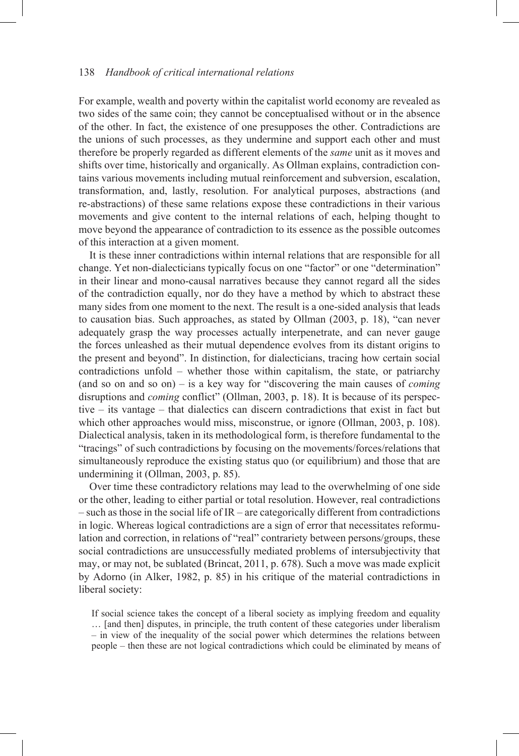For example, wealth and poverty within the capitalist world economy are revealed as two sides of the same coin; they cannot be conceptualised without or in the absence of the other. In fact, the existence of one presupposes the other. Contradictions are the unions of such processes, as they undermine and support each other and must therefore be properly regarded as different elements of the *same* unit as it moves and shifts over time, historically and organically. As Ollman explains, contradiction contains various movements including mutual reinforcement and subversion, escalation, transformation, and, lastly, resolution. For analytical purposes, abstractions (and re-abstractions) of these same relations expose these contradictions in their various movements and give content to the internal relations of each, helping thought to move beyond the appearance of contradiction to its essence as the possible outcomes of this interaction at a given moment.

It is these inner contradictions within internal relations that are responsible for all change. Yet non-dialecticians typically focus on one "factor" or one "determination" in their linear and mono-causal narratives because they cannot regard all the sides of the contradiction equally, nor do they have a method by which to abstract these many sides from one moment to the next. The result is a one-sided analysis that leads to causation bias. Such approaches, as stated by Ollman (2003, p. 18), "can never adequately grasp the way processes actually interpenetrate, and can never gauge the forces unleashed as their mutual dependence evolves from its distant origins to the present and beyond". In distinction, for dialecticians, tracing how certain social contradictions unfold – whether those within capitalism, the state, or patriarchy (and so on and so on) – is a key way for "discovering the main causes of *coming*  disruptions and *coming* conflict" (Ollman, 2003, p. 18). It is because of its perspective – its vantage – that dialectics can discern contradictions that exist in fact but which other approaches would miss, misconstrue, or ignore (Ollman, 2003, p. 108). Dialectical analysis, taken in its methodological form, is therefore fundamental to the "tracings" of such contradictions by focusing on the movements/forces/relations that simultaneously reproduce the existing status quo (or equilibrium) and those that are undermining it (Ollman, 2003, p. 85).

Over time these contradictory relations may lead to the overwhelming of one side or the other, leading to either partial or total resolution. However, real contradictions – such as those in the social life of IR – are categorically different from contradictions in logic. Whereas logical contradictions are a sign of error that necessitates reformulation and correction, in relations of "real" contrariety between persons/groups, these social contradictions are unsuccessfully mediated problems of intersubjectivity that may, or may not, be sublated (Brincat, 2011, p. 678). Such a move was made explicit by Adorno (in Alker, 1982, p. 85) in his critique of the material contradictions in liberal society:

If social science takes the concept of a liberal society as implying freedom and equality … [and then] disputes, in principle, the truth content of these categories under liberalism – in view of the inequality of the social power which determines the relations between people – then these are not logical contradictions which could be eliminated by means of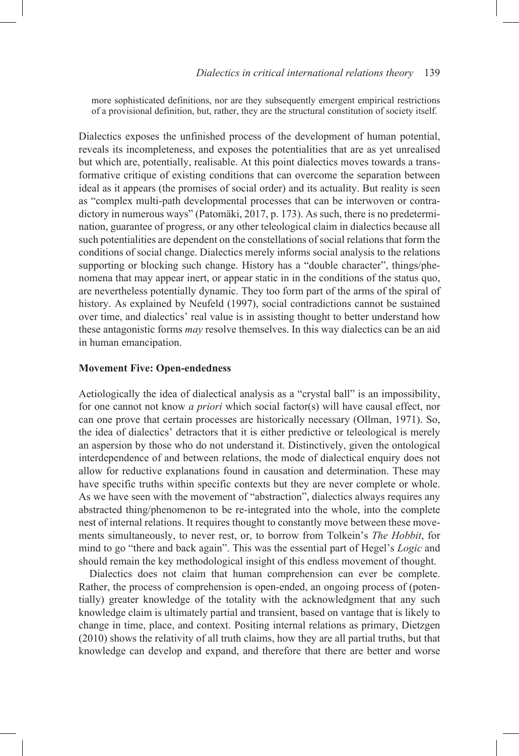more sophisticated definitions, nor are they subsequently emergent empirical restrictions of a provisional definition, but, rather, they are the structural constitution of society itself.

Dialectics exposes the unfinished process of the development of human potential, reveals its incompleteness, and exposes the potentialities that are as yet unrealised but which are, potentially, realisable. At this point dialectics moves towards a transformative critique of existing conditions that can overcome the separation between ideal as it appears (the promises of social order) and its actuality. But reality is seen as "complex multi-path developmental processes that can be interwoven or contradictory in numerous ways" (Patomäki, 2017, p. 173). As such, there is no predetermination, guarantee of progress, or any other teleological claim in dialectics because all such potentialities are dependent on the constellations of social relations that form the conditions of social change. Dialectics merely informs social analysis to the relations supporting or blocking such change. History has a "double character", things/phenomena that may appear inert, or appear static in in the conditions of the status quo, are nevertheless potentially dynamic. They too form part of the arms of the spiral of history. As explained by Neufeld (1997), social contradictions cannot be sustained over time, and dialectics' real value is in assisting thought to better understand how these antagonistic forms *may* resolve themselves. In this way dialectics can be an aid in human emancipation.

# **Movement Five: Open-endedness**

Aetiologically the idea of dialectical analysis as a "crystal ball" is an impossibility, for one cannot not know *a priori* which social factor(s) will have causal effect, nor can one prove that certain processes are historically necessary (Ollman, 1971). So, the idea of dialectics' detractors that it is either predictive or teleological is merely an aspersion by those who do not understand it. Distinctively, given the ontological interdependence of and between relations, the mode of dialectical enquiry does not allow for reductive explanations found in causation and determination. These may have specific truths within specific contexts but they are never complete or whole. As we have seen with the movement of "abstraction", dialectics always requires any abstracted thing/phenomenon to be re-integrated into the whole, into the complete nest of internal relations. It requires thought to constantly move between these movements simultaneously, to never rest, or, to borrow from Tolkein's *The Hobbit*, for mind to go "there and back again". This was the essential part of Hegel's *Logic* and should remain the key methodological insight of this endless movement of thought.

Dialectics does not claim that human comprehension can ever be complete. Rather, the process of comprehension is open-ended, an ongoing process of (potentially) greater knowledge of the totality with the acknowledgment that any such knowledge claim is ultimately partial and transient, based on vantage that is likely to change in time, place, and context. Positing internal relations as primary, Dietzgen (2010) shows the relativity of all truth claims, how they are all partial truths, but that knowledge can develop and expand, and therefore that there are better and worse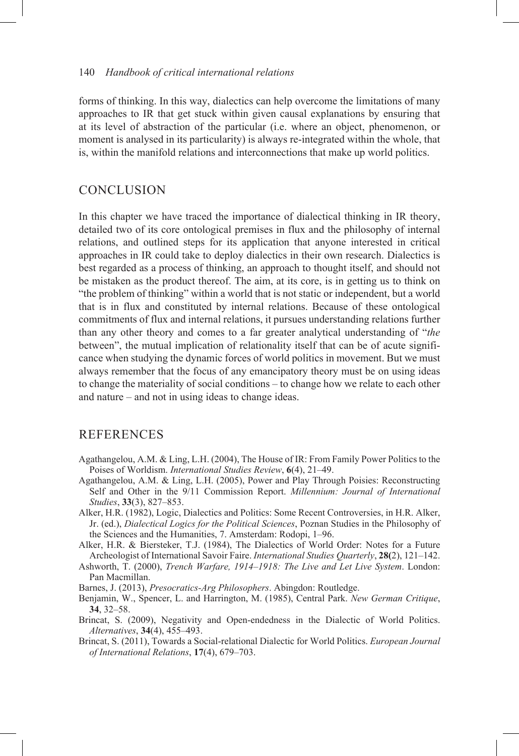forms of thinking. In this way, dialectics can help overcome the limitations of many approaches to IR that get stuck within given causal explanations by ensuring that at its level of abstraction of the particular (i.e. where an object, phenomenon, or moment is analysed in its particularity) is always re-integrated within the whole, that is, within the manifold relations and interconnections that make up world politics.

# CONCLUSION

In this chapter we have traced the importance of dialectical thinking in IR theory, detailed two of its core ontological premises in flux and the philosophy of internal relations, and outlined steps for its application that anyone interested in critical approaches in IR could take to deploy dialectics in their own research. Dialectics is best regarded as a process of thinking, an approach to thought itself, and should not be mistaken as the product thereof. The aim, at its core, is in getting us to think on "the problem of thinking" within a world that is not static or independent, but a world that is in flux and constituted by internal relations. Because of these ontological commitments of flux and internal relations, it pursues understanding relations further than any other theory and comes to a far greater analytical understanding of "*the* between", the mutual implication of relationality itself that can be of acute significance when studying the dynamic forces of world politics in movement. But we must always remember that the focus of any emancipatory theory must be on using ideas to change the materiality of social conditions – to change how we relate to each other and nature – and not in using ideas to change ideas.

# REFERENCES

- Agathangelou, A.M. & Ling, L.H. (2004), The House of IR: From Family Power Politics to the Poises of Worldism. *International Studies Review*, **6**(4), 21–49.
- Agathangelou, A.M. & Ling, L.H. (2005), Power and Play Through Poisies: Reconstructing Self and Other in the 9/11 Commission Report. *Millennium: Journal of International Studies*, **33**(3), 827–853.
- Alker, H.R. (1982), Logic, Dialectics and Politics: Some Recent Controversies, in H.R. Alker, Jr. (ed.), *Dialectical Logics for the Political Sciences*, Poznan Studies in the Philosophy of the Sciences and the Humanities, 7. Amsterdam: Rodopi, 1–96.
- Alker, H.R. & Biersteker, T.J. (1984), The Dialectics of World Order: Notes for a Future Archeologist of International Savoir Faire. *International Studies Quarterly*, **28(**2), 121–142.

Ashworth, T. (2000), *Trench Warfare, 1914–1918: The Live and Let Live System*. London: Pan Macmillan.

Barnes, J. (2013), *Presocratics-Arg Philosophers*. Abingdon: Routledge.

- Benjamin, W., Spencer, L. and Harrington, M. (1985), Central Park. *New German Critique*, **34**, 32–58.
- Brincat, S. (2009), Negativity and Open-endedness in the Dialectic of World Politics. *Alternatives*, **34**(4), 455–493.
- Brincat, S. (2011), Towards a Social-relational Dialectic for World Politics. *European Journal of International Relations*, **17**(4), 679–703.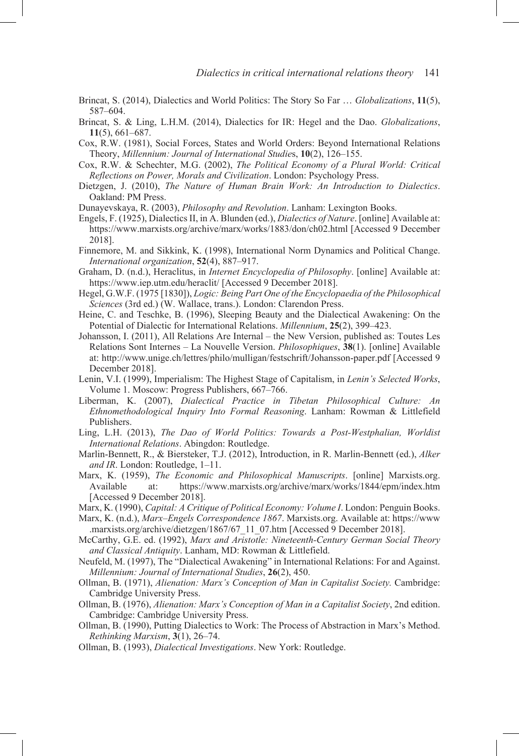- Brincat, S. (2014), Dialectics and World Politics: The Story So Far … *Globalizations*, **11**(5), 587–604.
- Brincat, S. & Ling, L.H.M. (2014), Dialectics for IR: Hegel and the Dao. *Globalizations*, **11**(5), 661–687.
- Cox, R.W. (1981), Social Forces, States and World Orders: Beyond International Relations Theory, *Millennium: Journal of International Studie*s, **10**(2), 126–155.
- Cox, R.W. & Schechter, M.G. (2002), *The Political Economy of a Plural World: Critical Reflections on Power, Morals and Civilization*. London: Psychology Press.
- Dietzgen, J. (2010), *The Nature of Human Brain Work: An Introduction to Dialectics*. Oakland: PM Press.
- Dunayevskaya, R. (2003), *Philosophy and Revolution*. Lanham: Lexington Books.
- Engels, F. (1925), Dialectics II, in A. Blunden (ed.), *Dialectics of Nature*. [online] Available at: https://www.marxists.org/archive/marx/works/1883/don/ch02.html [Accessed 9 December 2018].
- Finnemore, M. and Sikkink, K. (1998), International Norm Dynamics and Political Change. *International organization*, **52**(4), 887–917.
- Graham, D. (n.d.), Heraclitus, in *Internet Encyclopedia of Philosophy*. [online] Available at: https://www.iep.utm.edu/heraclit/ [Accessed 9 December 2018].
- Hegel, G.W.F. (1975 [1830]), *Logic: Being Part One of the Encyclopaedia of the Philosophical Sciences* (3rd ed.) (W. Wallace, trans.). London: Clarendon Press.
- Heine, C. and Teschke, B. (1996), Sleeping Beauty and the Dialectical Awakening: On the Potential of Dialectic for International Relations. *Millennium*, **25**(2), 399–423.
- Johansson, I. (2011), All Relations Are Internal the New Version, published as: Toutes Les Relations Sont Internes – La Nouvelle Version. *Philosophiques*, **38**(1). [online] Available at: http://www.unige.ch/lettres/philo/mulligan/festschrift/Johansson-paper.pdf [Accessed 9 December 2018].
- Lenin, V.I. (1999), Imperialism: The Highest Stage of Capitalism, in *Lenin's Selected Works*, Volume 1. Moscow: Progress Publishers, 667–766.
- Liberman, K. (2007), *Dialectical Practice in Tibetan Philosophical Culture: An Ethnomethodological Inquiry Into Formal Reasoning*. Lanham: Rowman & Littlefield Publishers.
- Ling, L.H. (2013), *The Dao of World Politics: Towards a Post-Westphalian, Worldist International Relations*. Abingdon: Routledge.
- Marlin-Bennett, R., & Biersteker, T.J. (2012), Introduction, in R. Marlin-Bennett (ed.), *Alker and IR*. London: Routledge, 1–11.
- Marx, K. (1959), *The Economic and Philosophical Manuscripts*. [online] Marxists.org. at: https://www.marxists.org/archive/marx/works/1844/epm/index.htm [Accessed 9 December 2018].
- Marx, K. (1990), *Capital: A Critique of Political Economy: Volume I*. London: Penguin Books.
- Marx, K. (n.d.), *Marx–Engels Correspondence 1867*. Marxists.org. Available at: https://www .marxists.org/archive/dietzgen/1867/67\_11\_07.htm [Accessed 9 December 2018].
- McCarthy, G.E. ed. (1992), *Marx and Aristotle: Nineteenth-Century German Social Theory and Classical Antiquity*. Lanham, MD: Rowman & Littlefield.
- Neufeld, M. (1997), The "Dialectical Awakening" in International Relations: For and Against. *Millennium: Journal of International Studies*, **26**(2), 450.
- Ollman, B. (1971), *Alienation: Marx's Conception of Man in Capitalist Society.* Cambridge: Cambridge University Press.
- Ollman, B. (1976), *Alienation: Marx's Conception of Man in a Capitalist Society*, 2nd edition. Cambridge: Cambridge University Press.
- Ollman, B. (1990), Putting Dialectics to Work: The Process of Abstraction in Marx's Method. *Rethinking Marxism*, **3**(1), 26–74.
- Ollman, B. (1993), *Dialectical Investigations*. New York: Routledge.